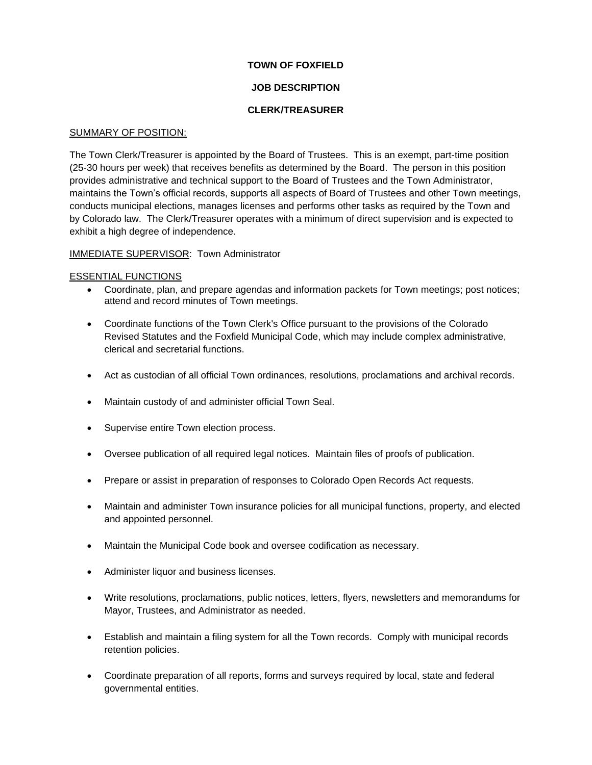# **TOWN OF FOXFIELD**

# **JOB DESCRIPTION**

# **CLERK/TREASURER**

### SUMMARY OF POSITION:

The Town Clerk/Treasurer is appointed by the Board of Trustees. This is an exempt, part-time position (25-30 hours per week) that receives benefits as determined by the Board. The person in this position provides administrative and technical support to the Board of Trustees and the Town Administrator, maintains the Town's official records, supports all aspects of Board of Trustees and other Town meetings, conducts municipal elections, manages licenses and performs other tasks as required by the Town and by Colorado law. The Clerk/Treasurer operates with a minimum of direct supervision and is expected to exhibit a high degree of independence.

### IMMEDIATE SUPERVISOR: Town Administrator

### ESSENTIAL FUNCTIONS

- Coordinate, plan, and prepare agendas and information packets for Town meetings; post notices; attend and record minutes of Town meetings.
- Coordinate functions of the Town Clerk's Office pursuant to the provisions of the Colorado Revised Statutes and the Foxfield Municipal Code, which may include complex administrative, clerical and secretarial functions.
- Act as custodian of all official Town ordinances, resolutions, proclamations and archival records.
- Maintain custody of and administer official Town Seal.
- Supervise entire Town election process.
- Oversee publication of all required legal notices. Maintain files of proofs of publication.
- Prepare or assist in preparation of responses to Colorado Open Records Act requests.
- Maintain and administer Town insurance policies for all municipal functions, property, and elected and appointed personnel.
- Maintain the Municipal Code book and oversee codification as necessary.
- Administer liquor and business licenses.
- Write resolutions, proclamations, public notices, letters, flyers, newsletters and memorandums for Mayor, Trustees, and Administrator as needed.
- Establish and maintain a filing system for all the Town records. Comply with municipal records retention policies.
- Coordinate preparation of all reports, forms and surveys required by local, state and federal governmental entities.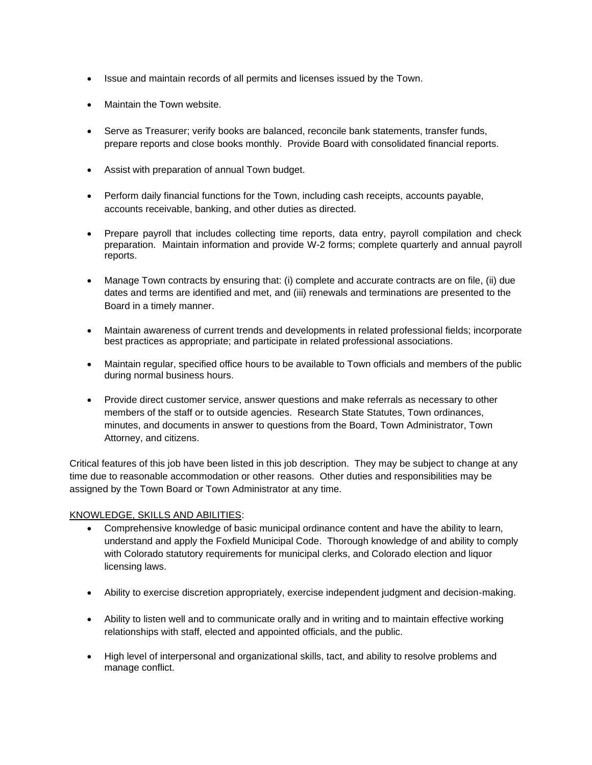- Issue and maintain records of all permits and licenses issued by the Town.
- Maintain the Town website.
- Serve as Treasurer; verify books are balanced, reconcile bank statements, transfer funds, prepare reports and close books monthly. Provide Board with consolidated financial reports.
- Assist with preparation of annual Town budget.
- Perform daily financial functions for the Town, including cash receipts, accounts payable, accounts receivable, banking, and other duties as directed.
- Prepare payroll that includes collecting time reports, data entry, payroll compilation and check preparation. Maintain information and provide W-2 forms; complete quarterly and annual payroll reports.
- Manage Town contracts by ensuring that: (i) complete and accurate contracts are on file, (ii) due dates and terms are identified and met, and (iii) renewals and terminations are presented to the Board in a timely manner.
- Maintain awareness of current trends and developments in related professional fields; incorporate best practices as appropriate; and participate in related professional associations.
- Maintain regular, specified office hours to be available to Town officials and members of the public during normal business hours.
- Provide direct customer service, answer questions and make referrals as necessary to other members of the staff or to outside agencies. Research State Statutes, Town ordinances, minutes, and documents in answer to questions from the Board, Town Administrator, Town Attorney, and citizens.

Critical features of this job have been listed in this job description. They may be subject to change at any time due to reasonable accommodation or other reasons. Other duties and responsibilities may be assigned by the Town Board or Town Administrator at any time.

# KNOWLEDGE, SKILLS AND ABILITIES:

- Comprehensive knowledge of basic municipal ordinance content and have the ability to learn, understand and apply the Foxfield Municipal Code. Thorough knowledge of and ability to comply with Colorado statutory requirements for municipal clerks, and Colorado election and liquor licensing laws.
- Ability to exercise discretion appropriately, exercise independent judgment and decision-making.
- Ability to listen well and to communicate orally and in writing and to maintain effective working relationships with staff, elected and appointed officials, and the public.
- High level of interpersonal and organizational skills, tact, and ability to resolve problems and manage conflict.